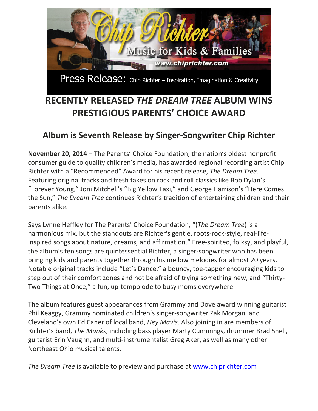

Press Release: Chip Richter – Inspiration, Imagination & Creativity

## **RECENTLY RELEASED** *THE DREAM TREE* **ALBUM WINS PRESTIGIOUS PARENTS' CHOICE AWARD**

## Album is Seventh Release by Singer-Songwriter Chip Richter

**November 20, 2014** – The Parents' Choice Foundation, the nation's oldest nonprofit consumer guide to quality children's media, has awarded regional recording artist Chip Richter with a "Recommended" Award for his recent release, *The Dream Tree*. Featuring original tracks and fresh takes on rock and roll classics like Bob Dylan's "Forever Young," Joni Mitchell's "Big Yellow Taxi," and George Harrison's "Here Comes the Sun," *The Dream Tree* continues Richter's tradition of entertaining children and their parents alike.

Says Lynne Heffley for The Parents' Choice Foundation, "(*The Dream Tree*) is a harmonious mix, but the standouts are Richter's gentle, roots-rock-style, real-lifeinspired songs about nature, dreams, and affirmation." Free-spirited, folksy, and playful, the album's ten songs are quintessential Richter, a singer-songwriter who has been bringing kids and parents together through his mellow melodies for almost 20 years. Notable original tracks include "Let's Dance," a bouncy, toe-tapper encouraging kids to step out of their comfort zones and not be afraid of trying something new, and "Thirty-Two Things at Once," a fun, up-tempo ode to busy moms everywhere.

The album features guest appearances from Grammy and Dove award winning guitarist Phil Keaggy, Grammy nominated children's singer-songwriter Zak Morgan, and Cleveland's own Ed Caner of local band, *Hey Mavis*. Also joining in are members of Richter's band, *The Munks*, including bass player Marty Cummings, drummer Brad Shell, guitarist Erin Vaughn, and multi-instrumentalist Greg Aker, as well as many other Northeast Ohio musical talents.

*The Dream Tree* is available to preview and purchase at www.chiprichter.com